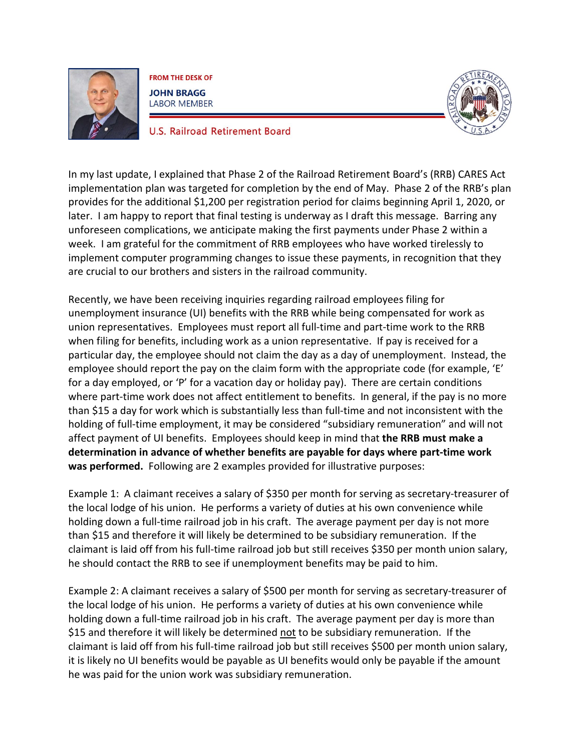

**FROM THE DESK OF JOHN BRAGG LABOR MEMBER** 



**U.S. Railroad Retirement Board** 

In my last update, I explained that Phase 2 of the Railroad Retirement Board's (RRB) CARES Act implementation plan was targeted for completion by the end of May. Phase 2 of the RRB's plan provides for the additional \$1,200 per registration period for claims beginning April 1, 2020, or later. I am happy to report that final testing is underway as I draft this message. Barring any unforeseen complications, we anticipate making the first payments under Phase 2 within a week. I am grateful for the commitment of RRB employees who have worked tirelessly to implement computer programming changes to issue these payments, in recognition that they are crucial to our brothers and sisters in the railroad community.

Recently, we have been receiving inquiries regarding railroad employees filing for unemployment insurance (UI) benefits with the RRB while being compensated for work as union representatives. Employees must report all full-time and part-time work to the RRB when filing for benefits, including work as a union representative. If pay is received for a particular day, the employee should not claim the day as a day of unemployment. Instead, the employee should report the pay on the claim form with the appropriate code (for example, 'E' for a day employed, or 'P' for a vacation day or holiday pay). There are certain conditions where part-time work does not affect entitlement to benefits. In general, if the pay is no more than \$15 a day for work which is substantially less than full-time and not inconsistent with the holding of full-time employment, it may be considered "subsidiary remuneration" and will not affect payment of UI benefits. Employees should keep in mind that **the RRB must make a determination in advance of whether benefits are payable for days where part-time work was performed.** Following are 2 examples provided for illustrative purposes:

Example 1: A claimant receives a salary of \$350 per month for serving as secretary-treasurer of the local lodge of his union. He performs a variety of duties at his own convenience while holding down a full-time railroad job in his craft. The average payment per day is not more than \$15 and therefore it will likely be determined to be subsidiary remuneration. If the claimant is laid off from his full-time railroad job but still receives \$350 per month union salary, he should contact the RRB to see if unemployment benefits may be paid to him.

Example 2: A claimant receives a salary of \$500 per month for serving as secretary-treasurer of the local lodge of his union. He performs a variety of duties at his own convenience while holding down a full-time railroad job in his craft. The average payment per day is more than \$15 and therefore it will likely be determined not to be subsidiary remuneration. If the claimant is laid off from his full-time railroad job but still receives \$500 per month union salary, it is likely no UI benefits would be payable as UI benefits would only be payable if the amount he was paid for the union work was subsidiary remuneration.